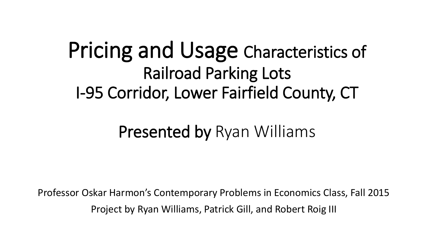# Pricing and Usage Characteristics of Railroad Parking Lots I-95 Corridor, Lower Fairfield County, CT

#### Presented by Ryan Williams

Professor Oskar Harmon's Contemporary Problems in Economics Class, Fall 2015 Project by Ryan Williams, Patrick Gill, and Robert Roig III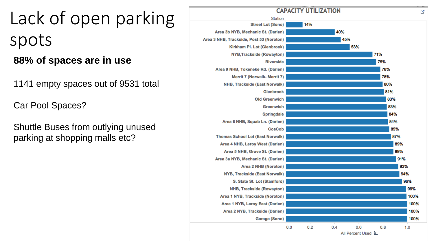Lack of open parking spots

**88% of spaces are in use** 

1141 empty spaces out of 9531 total

Car Pool Spaces?

Shuttle Buses from outlying unused parking at shopping malls etc?

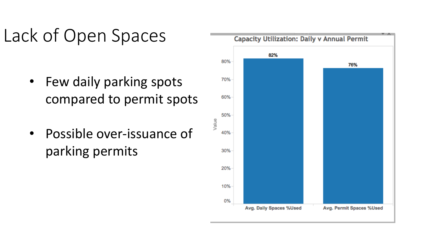# Lack of Open Spaces

- Few daily parking spots compared to permit spots
- Possible over-issuance of parking permits

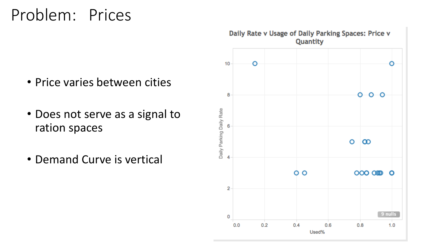#### Problem: Prices

- Price varies between cities
- Does not serve as a signal to ration spaces
- Demand Curve is vertical

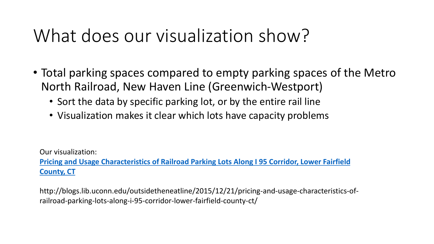# What does our visualization show?

- Total parking spaces compared to empty parking spaces of the Metro North Railroad, New Haven Line (Greenwich-Westport)
	- Sort the data by specific parking lot, or by the entire rail line
	- Visualization makes it clear which lots have capacity problems

Our visualization:

**[Pricing and Usage Characteristics of Railroad Parking Lots Along I 95 Corridor, Lower Fairfield](http://blogs.lib.uconn.edu/outsidetheneatline/2015/12/21/pricing-and-usage-characteristics-of-railroad-parking-lots-along-i-95-corridor-lower-fairfield-county-ct/) County, CT**

http://blogs.lib.uconn.edu/outsidetheneatline/2015/12/21/pricing-and-usage-characteristics-ofrailroad-parking-lots-along-i-95-corridor-lower-fairfield-county-ct/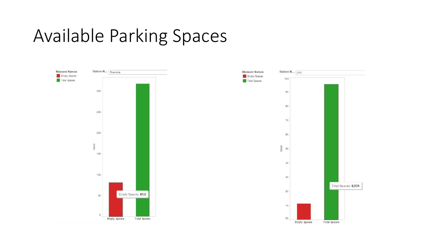### Available Parking Spaces

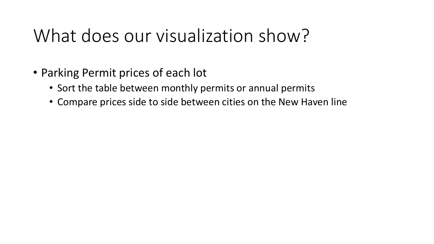# What does our visualization show?

- Parking Permit prices of each lot
	- Sort the table between monthly permits or annual permits
	- Compare prices side to side between cities on the New Haven line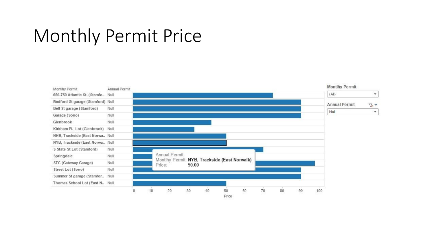## Monthly Permit Price

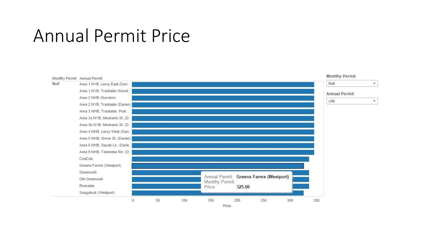#### Annual Permit Price

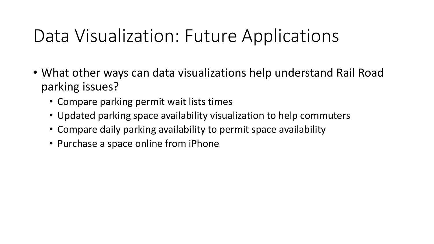# Data Visualization: Future Applications

- What other ways can data visualizations help understand Rail Road parking issues?
	- Compare parking permit wait lists times
	- Updated parking space availability visualization to help commuters
	- Compare daily parking availability to permit space availability
	- Purchase a space online from iPhone